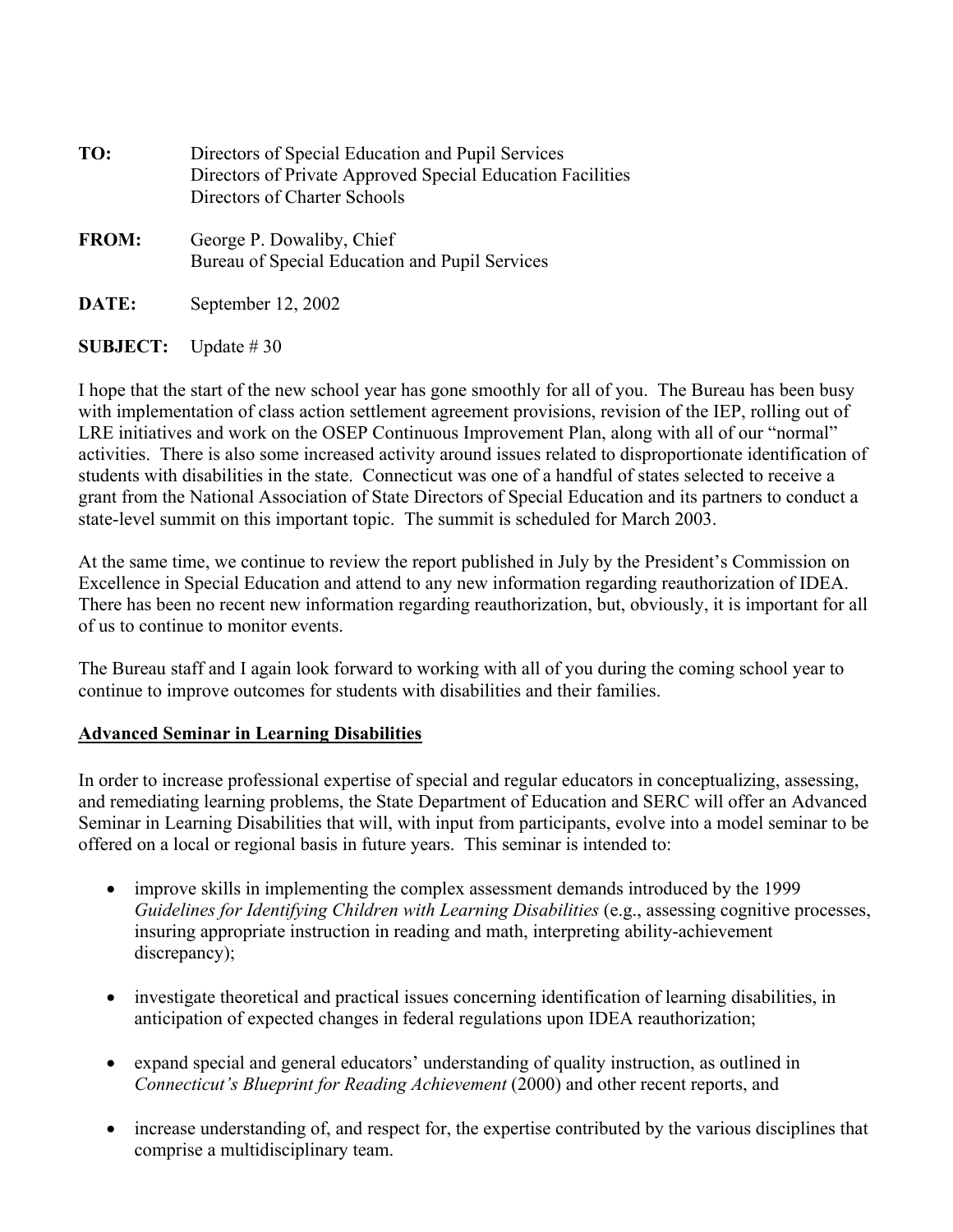| TO:          | Directors of Special Education and Pupil Services<br>Directors of Private Approved Special Education Facilities<br>Directors of Charter Schools |
|--------------|-------------------------------------------------------------------------------------------------------------------------------------------------|
| <b>FROM:</b> | George P. Dowaliby, Chief<br>Bureau of Special Education and Pupil Services                                                                     |
| DATE:        | September $12, 2002$                                                                                                                            |

**SUBJECT:** Update # 30

I hope that the start of the new school year has gone smoothly for all of you. The Bureau has been busy with implementation of class action settlement agreement provisions, revision of the IEP, rolling out of LRE initiatives and work on the OSEP Continuous Improvement Plan, along with all of our "normal" activities. There is also some increased activity around issues related to disproportionate identification of students with disabilities in the state. Connecticut was one of a handful of states selected to receive a grant from the National Association of State Directors of Special Education and its partners to conduct a state-level summit on this important topic. The summit is scheduled for March 2003.

At the same time, we continue to review the report published in July by the President's Commission on Excellence in Special Education and attend to any new information regarding reauthorization of IDEA. There has been no recent new information regarding reauthorization, but, obviously, it is important for all of us to continue to monitor events.

The Bureau staff and I again look forward to working with all of you during the coming school year to continue to improve outcomes for students with disabilities and their families.

#### **Advanced Seminar in Learning Disabilities**

In order to increase professional expertise of special and regular educators in conceptualizing, assessing, and remediating learning problems, the State Department of Education and SERC will offer an Advanced Seminar in Learning Disabilities that will, with input from participants, evolve into a model seminar to be offered on a local or regional basis in future years. This seminar is intended to:

- improve skills in implementing the complex assessment demands introduced by the 1999 *Guidelines for Identifying Children with Learning Disabilities (e.g., assessing cognitive processes,* insuring appropriate instruction in reading and math, interpreting ability-achievement discrepancy);
- investigate theoretical and practical issues concerning identification of learning disabilities, in anticipation of expected changes in federal regulations upon IDEA reauthorization;
- expand special and general educators' understanding of quality instruction, as outlined in *Connecticut's Blueprint for Reading Achievement* (2000) and other recent reports, and
- increase understanding of, and respect for, the expertise contributed by the various disciplines that comprise a multidisciplinary team.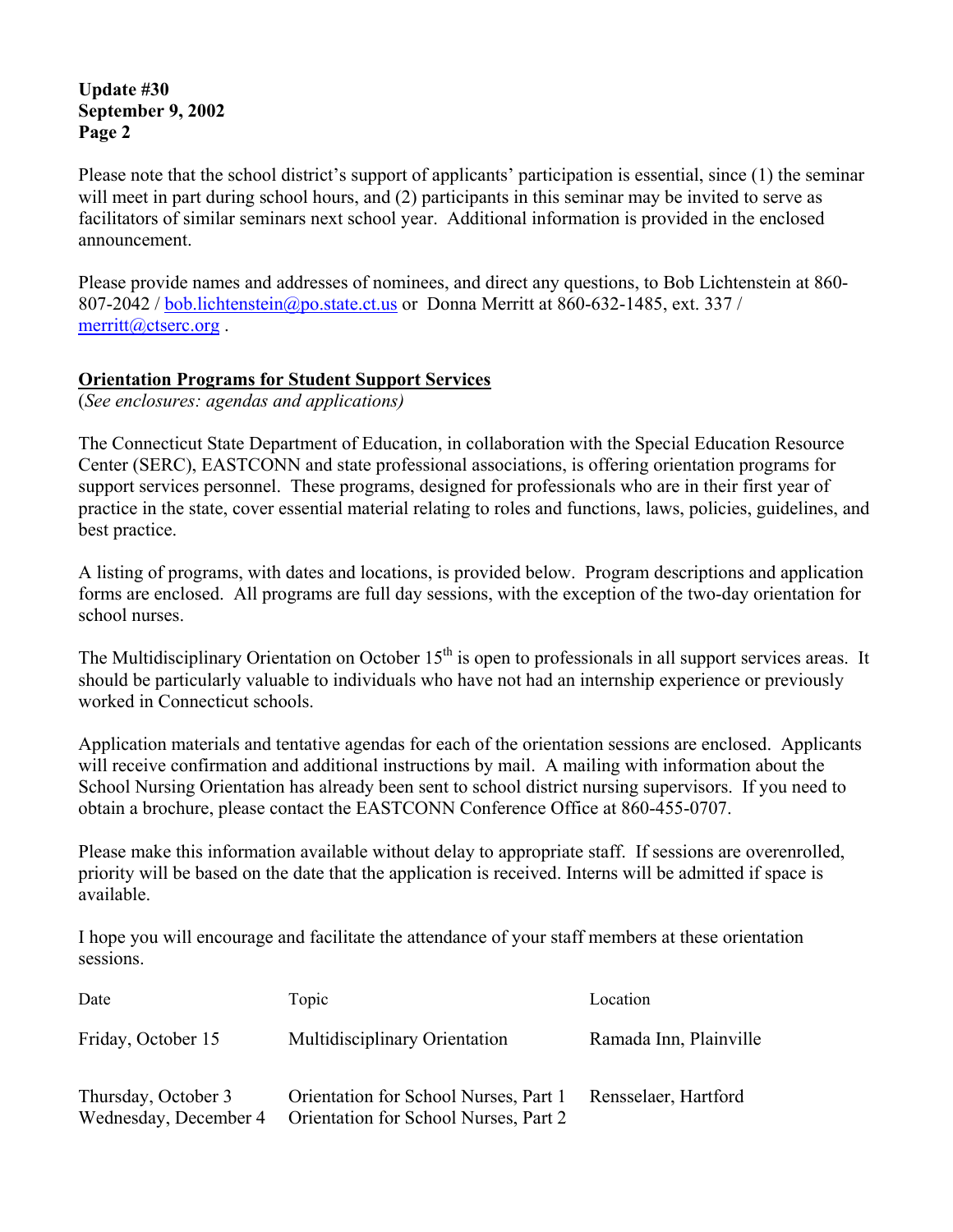Please note that the school district's support of applicants' participation is essential, since (1) the seminar will meet in part during school hours, and (2) participants in this seminar may be invited to serve as facilitators of similar seminars next school year. Additional information is provided in the enclosed announcement.

Please provide names and addresses of nominees, and direct any questions, to Bob Lichtenstein at 860- 807-2042 / bob.lichtenstein@po.state.ct.us or Donna Merritt at 860-632-1485, ext. 337 / merritt@ctserc.org .

#### **Orientation Programs for Student Support Services**

(*See enclosures: agendas and applications)* 

The Connecticut State Department of Education, in collaboration with the Special Education Resource Center (SERC), EASTCONN and state professional associations, is offering orientation programs for support services personnel. These programs, designed for professionals who are in their first year of practice in the state, cover essential material relating to roles and functions, laws, policies, guidelines, and best practice.

A listing of programs, with dates and locations, is provided below. Program descriptions and application forms are enclosed. All programs are full day sessions, with the exception of the two-day orientation for school nurses.

The Multidisciplinary Orientation on October  $15<sup>th</sup>$  is open to professionals in all support services areas. It should be particularly valuable to individuals who have not had an internship experience or previously worked in Connecticut schools.

Application materials and tentative agendas for each of the orientation sessions are enclosed. Applicants will receive confirmation and additional instructions by mail. A mailing with information about the School Nursing Orientation has already been sent to school district nursing supervisors. If you need to obtain a brochure, please contact the EASTCONN Conference Office at 860-455-0707.

Please make this information available without delay to appropriate staff. If sessions are overenrolled, priority will be based on the date that the application is received. Interns will be admitted if space is available.

I hope you will encourage and facilitate the attendance of your staff members at these orientation sessions.

| Date                                         | Topic                                                                          | Location               |
|----------------------------------------------|--------------------------------------------------------------------------------|------------------------|
| Friday, October 15                           | Multidisciplinary Orientation                                                  | Ramada Inn, Plainville |
| Thursday, October 3<br>Wednesday, December 4 | Orientation for School Nurses, Part 1<br>Orientation for School Nurses, Part 2 | Rensselaer, Hartford   |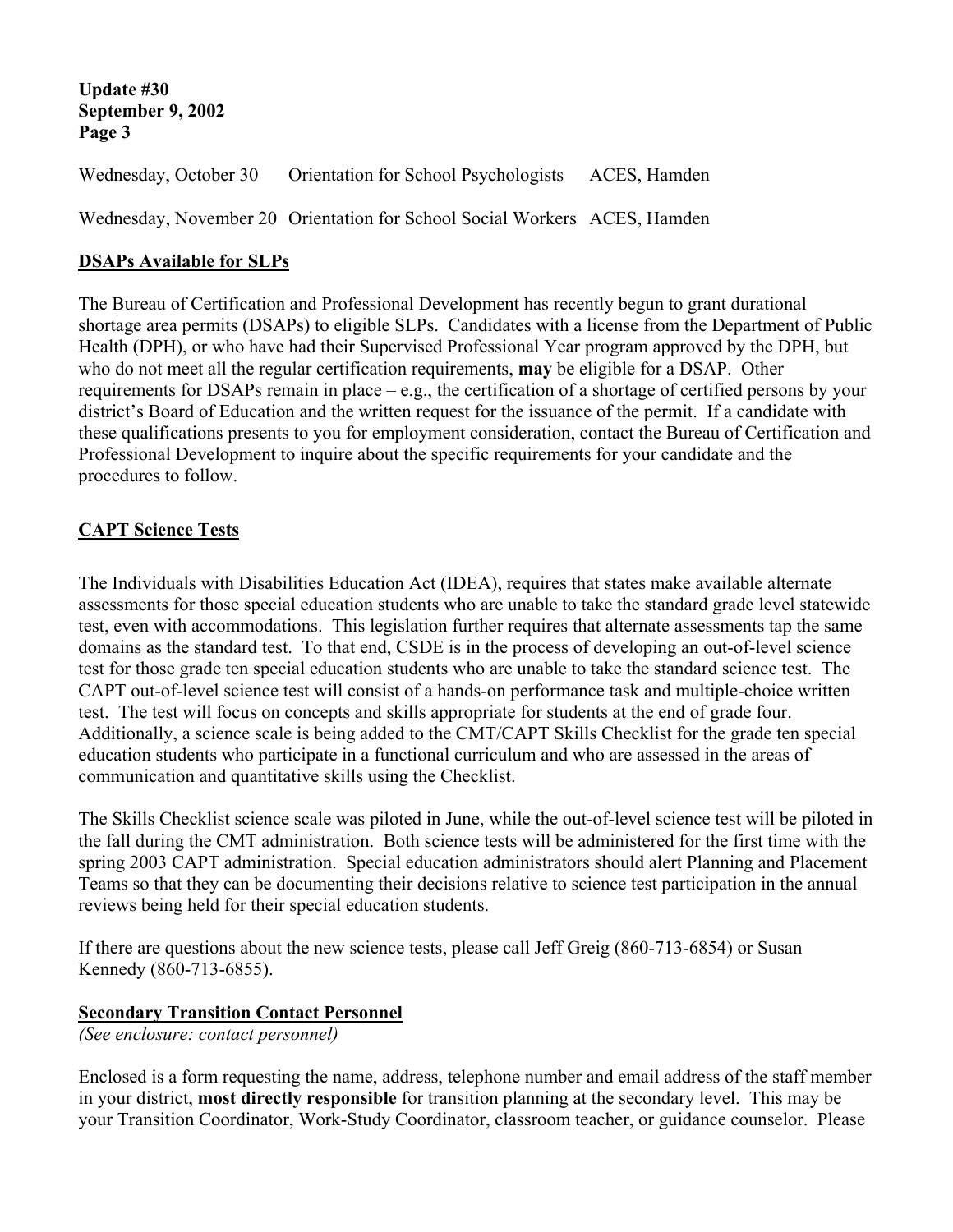Wednesday, October 30 Orientation for School Psychologists ACES, Hamden Wednesday, November 20 Orientation for School Social Workers ACES, Hamden

#### **DSAPs Available for SLPs**

The Bureau of Certification and Professional Development has recently begun to grant durational shortage area permits (DSAPs) to eligible SLPs. Candidates with a license from the Department of Public Health (DPH), or who have had their Supervised Professional Year program approved by the DPH, but who do not meet all the regular certification requirements, **may** be eligible for a DSAP. Other requirements for DSAPs remain in place – e.g., the certification of a shortage of certified persons by your district's Board of Education and the written request for the issuance of the permit. If a candidate with these qualifications presents to you for employment consideration, contact the Bureau of Certification and Professional Development to inquire about the specific requirements for your candidate and the procedures to follow.

#### **CAPT Science Tests**

The Individuals with Disabilities Education Act (IDEA), requires that states make available alternate assessments for those special education students who are unable to take the standard grade level statewide test, even with accommodations. This legislation further requires that alternate assessments tap the same domains as the standard test. To that end, CSDE is in the process of developing an out-of-level science test for those grade ten special education students who are unable to take the standard science test. The CAPT out-of-level science test will consist of a hands-on performance task and multiple-choice written test. The test will focus on concepts and skills appropriate for students at the end of grade four. Additionally, a science scale is being added to the CMT/CAPT Skills Checklist for the grade ten special education students who participate in a functional curriculum and who are assessed in the areas of communication and quantitative skills using the Checklist.

The Skills Checklist science scale was piloted in June, while the out-of-level science test will be piloted in the fall during the CMT administration. Both science tests will be administered for the first time with the spring 2003 CAPT administration. Special education administrators should alert Planning and Placement Teams so that they can be documenting their decisions relative to science test participation in the annual reviews being held for their special education students.

If there are questions about the new science tests, please call Jeff Greig (860-713-6854) or Susan Kennedy (860-713-6855).

#### **Secondary Transition Contact Personnel**

*(See enclosure: contact personnel)* 

Enclosed is a form requesting the name, address, telephone number and email address of the staff member in your district, **most directly responsible** for transition planning at the secondary level. This may be your Transition Coordinator, Work-Study Coordinator, classroom teacher, or guidance counselor. Please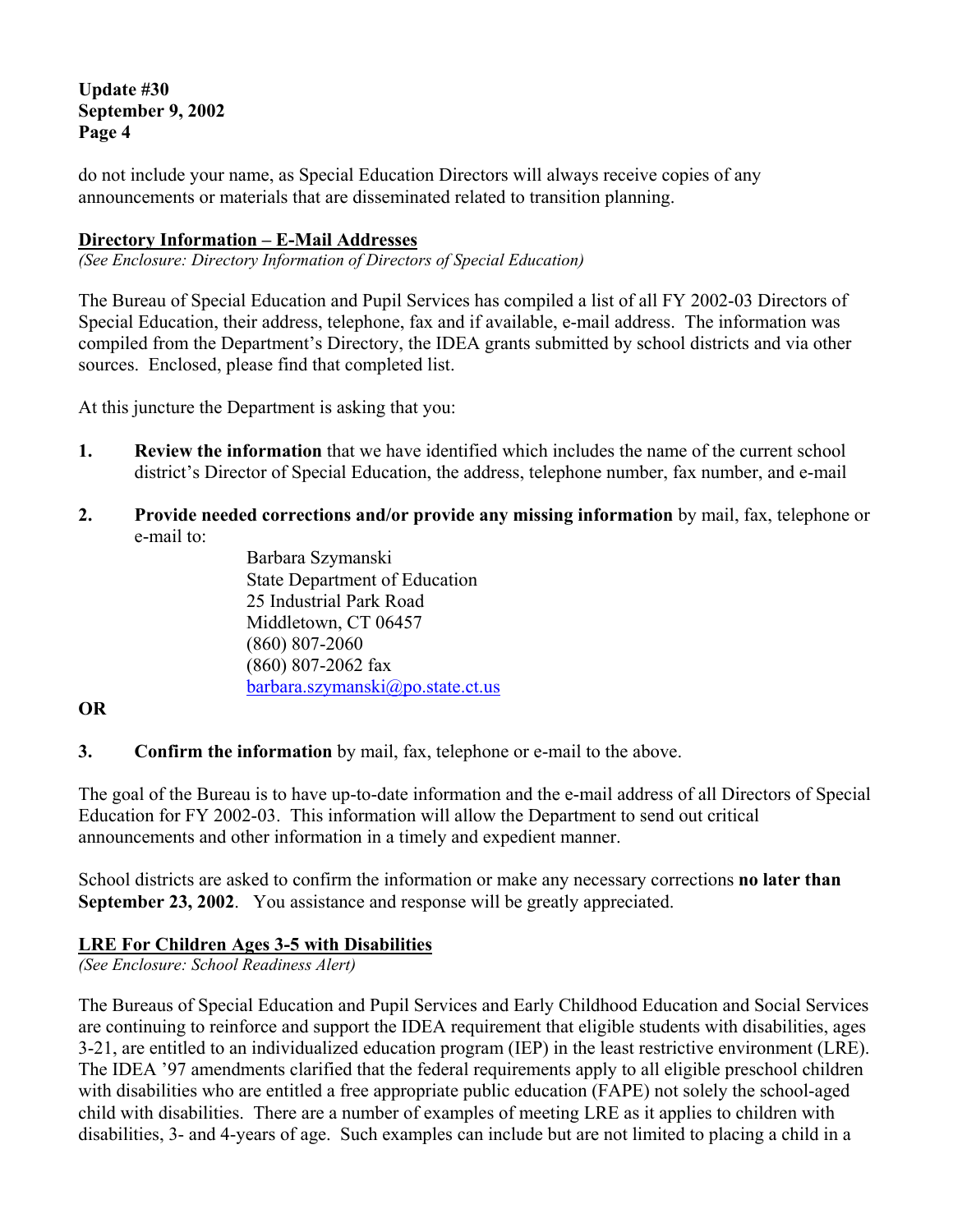do not include your name, as Special Education Directors will always receive copies of any announcements or materials that are disseminated related to transition planning.

#### **Directory Information – E-Mail Addresses**

*(See Enclosure: Directory Information of Directors of Special Education)* 

The Bureau of Special Education and Pupil Services has compiled a list of all FY 2002-03 Directors of Special Education, their address, telephone, fax and if available, e-mail address. The information was compiled from the Department's Directory, the IDEA grants submitted by school districts and via other sources. Enclosed, please find that completed list.

At this juncture the Department is asking that you:

- **1. Review the information** that we have identified which includes the name of the current school district's Director of Special Education, the address, telephone number, fax number, and e-mail
- **2. Provide needed corrections and/or provide any missing information** by mail, fax, telephone or e-mail to:

Barbara Szymanski State Department of Education 25 Industrial Park Road Middletown, CT 06457 (860) 807-2060 (860) 807-2062 fax barbara.szymanski@po.state.ct.us

#### **OR**

**3. Confirm the information** by mail, fax, telephone or e-mail to the above.

The goal of the Bureau is to have up-to-date information and the e-mail address of all Directors of Special Education for FY 2002-03. This information will allow the Department to send out critical announcements and other information in a timely and expedient manner.

School districts are asked to confirm the information or make any necessary corrections **no later than September 23, 2002**. You assistance and response will be greatly appreciated.

#### **LRE For Children Ages 3-5 with Disabilities**

*(See Enclosure: School Readiness Alert)* 

The Bureaus of Special Education and Pupil Services and Early Childhood Education and Social Services are continuing to reinforce and support the IDEA requirement that eligible students with disabilities, ages 3-21, are entitled to an individualized education program (IEP) in the least restrictive environment (LRE). The IDEA '97 amendments clarified that the federal requirements apply to all eligible preschool children with disabilities who are entitled a free appropriate public education (FAPE) not solely the school-aged child with disabilities. There are a number of examples of meeting LRE as it applies to children with disabilities, 3- and 4-years of age. Such examples can include but are not limited to placing a child in a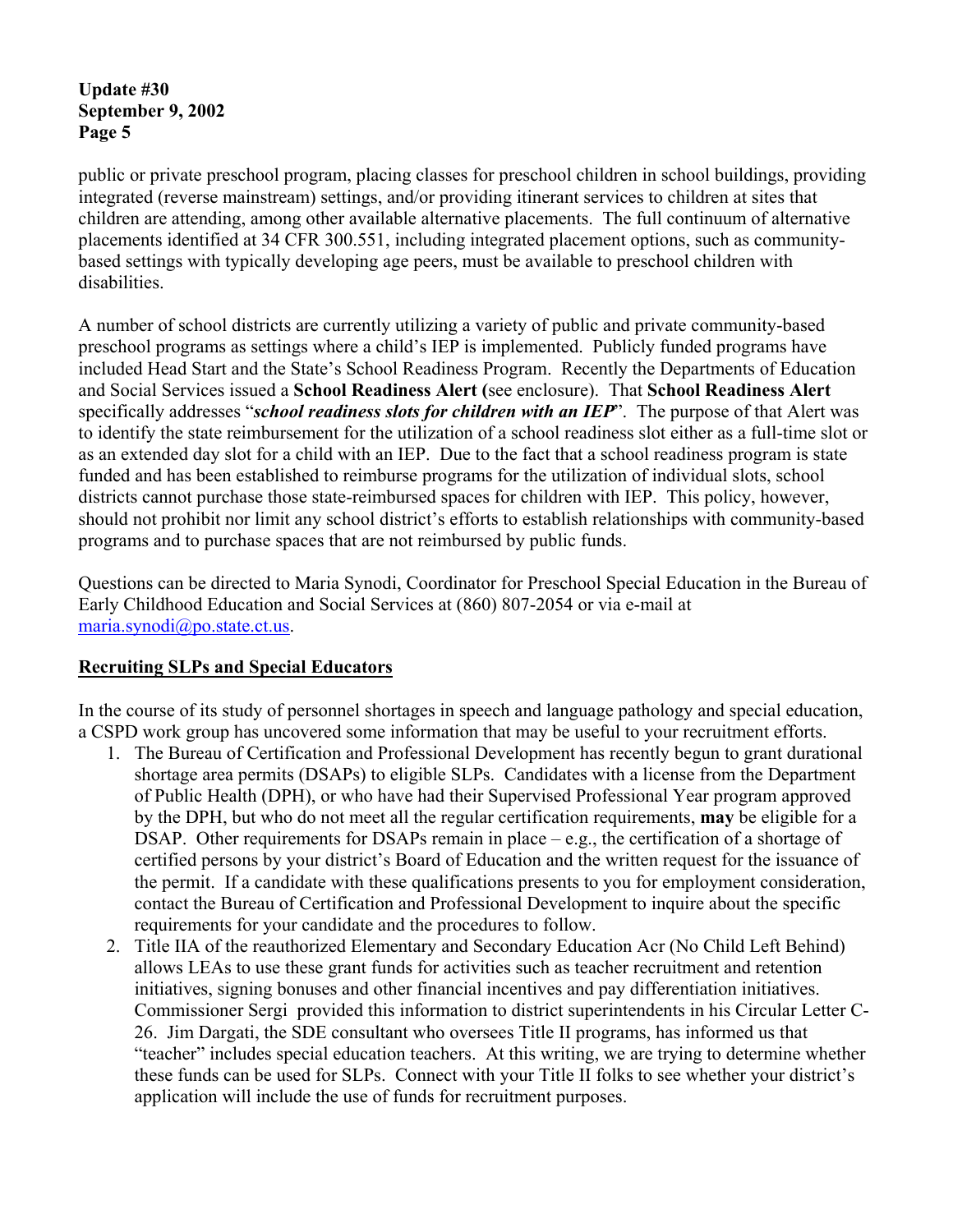public or private preschool program, placing classes for preschool children in school buildings, providing integrated (reverse mainstream) settings, and/or providing itinerant services to children at sites that children are attending, among other available alternative placements. The full continuum of alternative placements identified at 34 CFR 300.551, including integrated placement options, such as communitybased settings with typically developing age peers, must be available to preschool children with disabilities.

A number of school districts are currently utilizing a variety of public and private community-based preschool programs as settings where a child's IEP is implemented. Publicly funded programs have included Head Start and the State's School Readiness Program. Recently the Departments of Education and Social Services issued a **School Readiness Alert (**see enclosure). That **School Readiness Alert**  specifically addresses "*school readiness slots for children with an IEP*". The purpose of that Alert was to identify the state reimbursement for the utilization of a school readiness slot either as a full-time slot or as an extended day slot for a child with an IEP. Due to the fact that a school readiness program is state funded and has been established to reimburse programs for the utilization of individual slots, school districts cannot purchase those state-reimbursed spaces for children with IEP. This policy, however, should not prohibit nor limit any school district's efforts to establish relationships with community-based programs and to purchase spaces that are not reimbursed by public funds.

Questions can be directed to Maria Synodi, Coordinator for Preschool Special Education in the Bureau of Early Childhood Education and Social Services at (860) 807-2054 or via e-mail at maria.synodi@po.state.ct.us.

#### **Recruiting SLPs and Special Educators**

In the course of its study of personnel shortages in speech and language pathology and special education, a CSPD work group has uncovered some information that may be useful to your recruitment efforts.

- 1. The Bureau of Certification and Professional Development has recently begun to grant durational shortage area permits (DSAPs) to eligible SLPs. Candidates with a license from the Department of Public Health (DPH), or who have had their Supervised Professional Year program approved by the DPH, but who do not meet all the regular certification requirements, **may** be eligible for a DSAP. Other requirements for DSAPs remain in place  $-e.g.,$  the certification of a shortage of certified persons by your district's Board of Education and the written request for the issuance of the permit. If a candidate with these qualifications presents to you for employment consideration, contact the Bureau of Certification and Professional Development to inquire about the specific requirements for your candidate and the procedures to follow.
- 2. Title IIA of the reauthorized Elementary and Secondary Education Acr (No Child Left Behind) allows LEAs to use these grant funds for activities such as teacher recruitment and retention initiatives, signing bonuses and other financial incentives and pay differentiation initiatives. Commissioner Sergi provided this information to district superintendents in his Circular Letter C-26. Jim Dargati, the SDE consultant who oversees Title II programs, has informed us that "teacher" includes special education teachers. At this writing, we are trying to determine whether these funds can be used for SLPs. Connect with your Title II folks to see whether your district's application will include the use of funds for recruitment purposes.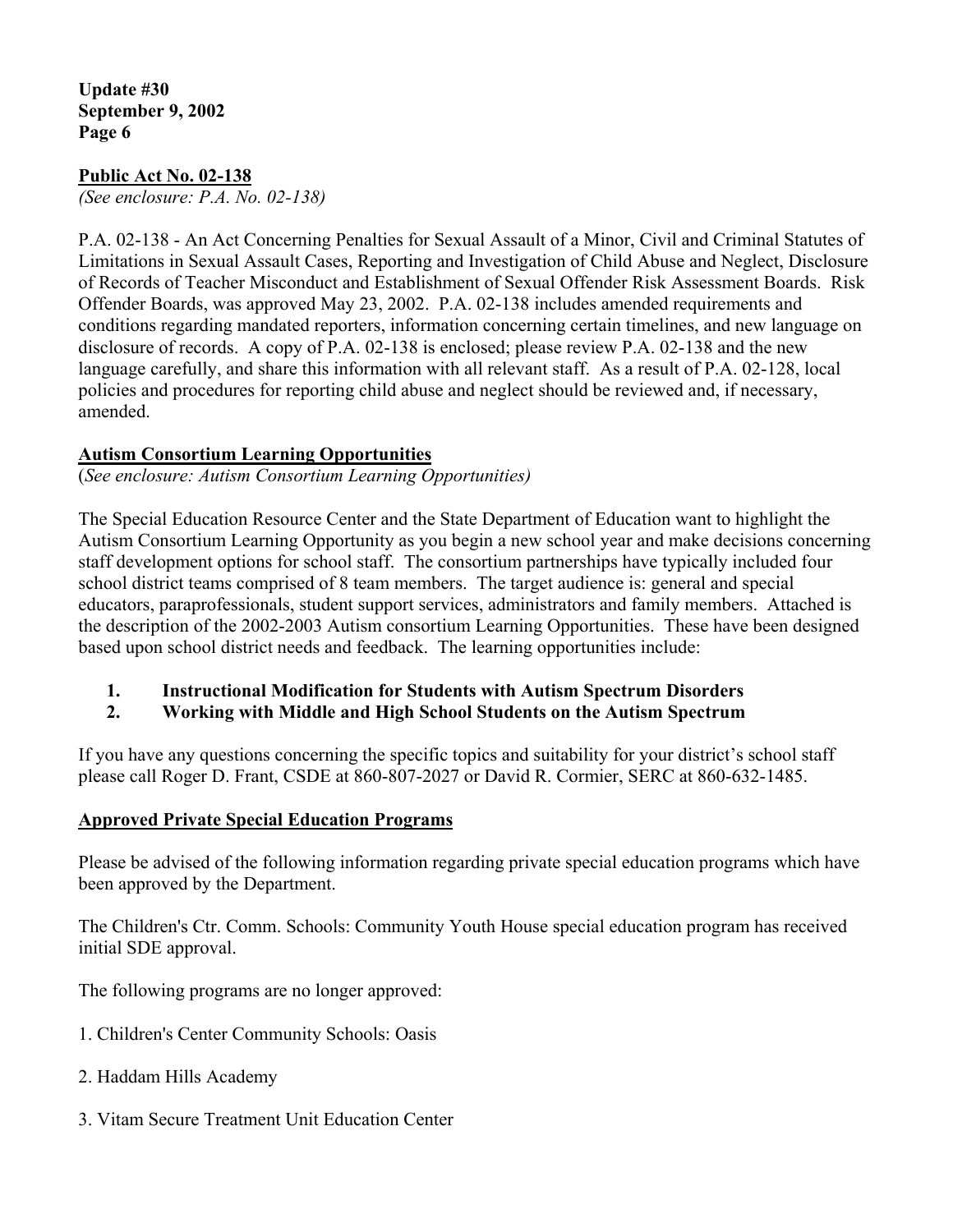#### **Public Act No. 02-138**

*(See enclosure: P.A. No. 02-138)* 

P.A. 02-138 - An Act Concerning Penalties for Sexual Assault of a Minor, Civil and Criminal Statutes of Limitations in Sexual Assault Cases, Reporting and Investigation of Child Abuse and Neglect, Disclosure of Records of Teacher Misconduct and Establishment of Sexual Offender Risk Assessment Boards. Risk Offender Boards, was approved May 23, 2002. P.A. 02-138 includes amended requirements and conditions regarding mandated reporters, information concerning certain timelines, and new language on disclosure of records. A copy of P.A. 02-138 is enclosed; please review P.A. 02-138 and the new language carefully, and share this information with all relevant staff. As a result of P.A. 02-128, local policies and procedures for reporting child abuse and neglect should be reviewed and, if necessary, amended.

#### **Autism Consortium Learning Opportunities**

(*See enclosure: Autism Consortium Learning Opportunities)*

The Special Education Resource Center and the State Department of Education want to highlight the Autism Consortium Learning Opportunity as you begin a new school year and make decisions concerning staff development options for school staff. The consortium partnerships have typically included four school district teams comprised of 8 team members. The target audience is: general and special educators, paraprofessionals, student support services, administrators and family members. Attached is the description of the 2002-2003 Autism consortium Learning Opportunities. These have been designed based upon school district needs and feedback. The learning opportunities include:

#### **1. Instructional Modification for Students with Autism Spectrum Disorders**

**2. Working with Middle and High School Students on the Autism Spectrum** 

If you have any questions concerning the specific topics and suitability for your district's school staff please call Roger D. Frant, CSDE at 860-807-2027 or David R. Cormier, SERC at 860-632-1485.

#### **Approved Private Special Education Programs**

Please be advised of the following information regarding private special education programs which have been approved by the Department.

The Children's Ctr. Comm. Schools: Community Youth House special education program has received initial SDE approval.

The following programs are no longer approved:

- 1. Children's Center Community Schools: Oasis
- 2. Haddam Hills Academy
- 3. Vitam Secure Treatment Unit Education Center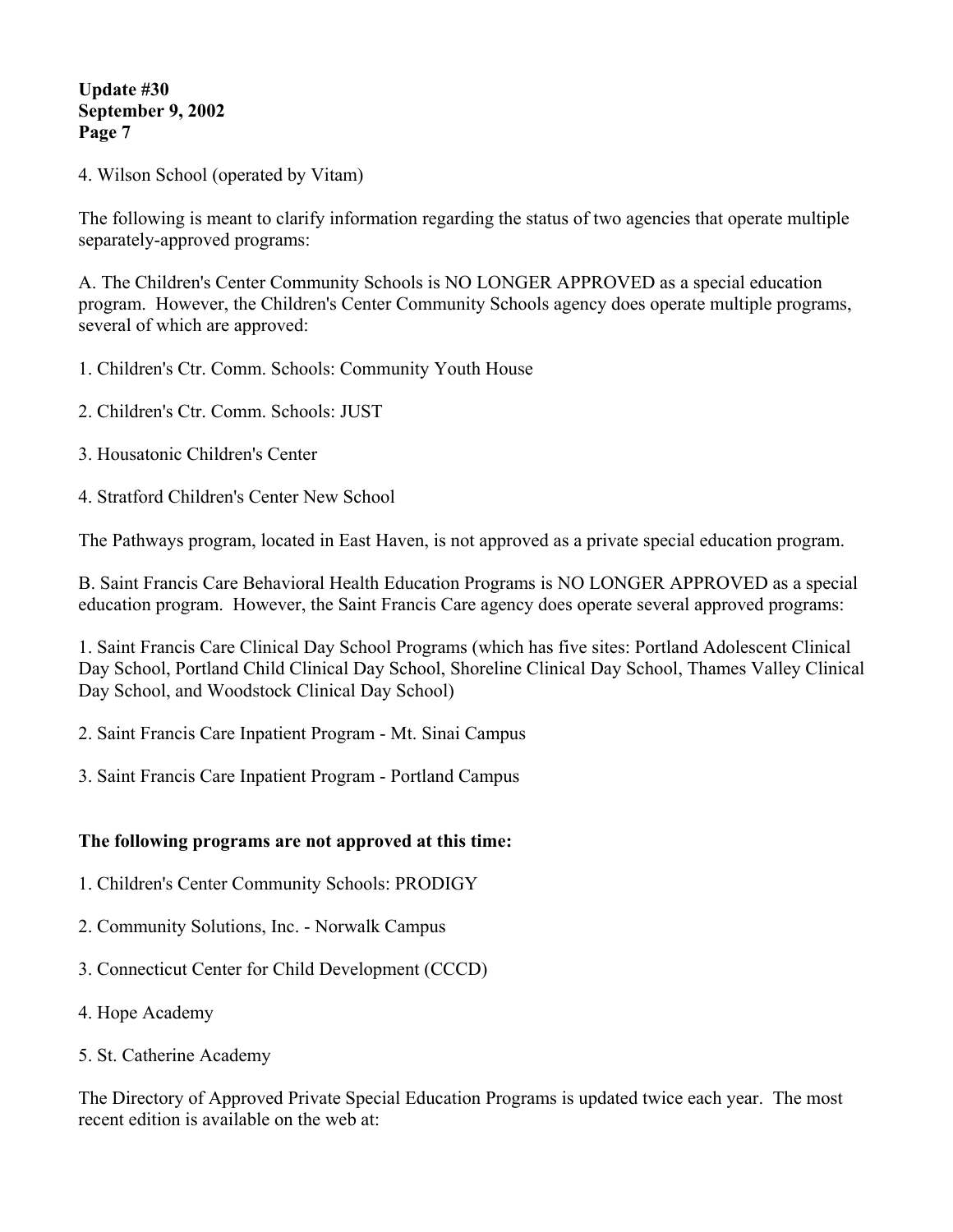4. Wilson School (operated by Vitam)

The following is meant to clarify information regarding the status of two agencies that operate multiple separately-approved programs:

A. The Children's Center Community Schools is NO LONGER APPROVED as a special education program. However, the Children's Center Community Schools agency does operate multiple programs, several of which are approved:

- 1. Children's Ctr. Comm. Schools: Community Youth House
- 2. Children's Ctr. Comm. Schools: JUST
- 3. Housatonic Children's Center
- 4. Stratford Children's Center New School

The Pathways program, located in East Haven, is not approved as a private special education program.

B. Saint Francis Care Behavioral Health Education Programs is NO LONGER APPROVED as a special education program. However, the Saint Francis Care agency does operate several approved programs:

1. Saint Francis Care Clinical Day School Programs (which has five sites: Portland Adolescent Clinical Day School, Portland Child Clinical Day School, Shoreline Clinical Day School, Thames Valley Clinical Day School, and Woodstock Clinical Day School)

2. Saint Francis Care Inpatient Program - Mt. Sinai Campus

3. Saint Francis Care Inpatient Program - Portland Campus

#### **The following programs are not approved at this time:**

- 1. Children's Center Community Schools: PRODIGY
- 2. Community Solutions, Inc. Norwalk Campus
- 3. Connecticut Center for Child Development (CCCD)
- 4. Hope Academy
- 5. St. Catherine Academy

The Directory of Approved Private Special Education Programs is updated twice each year. The most recent edition is available on the web at: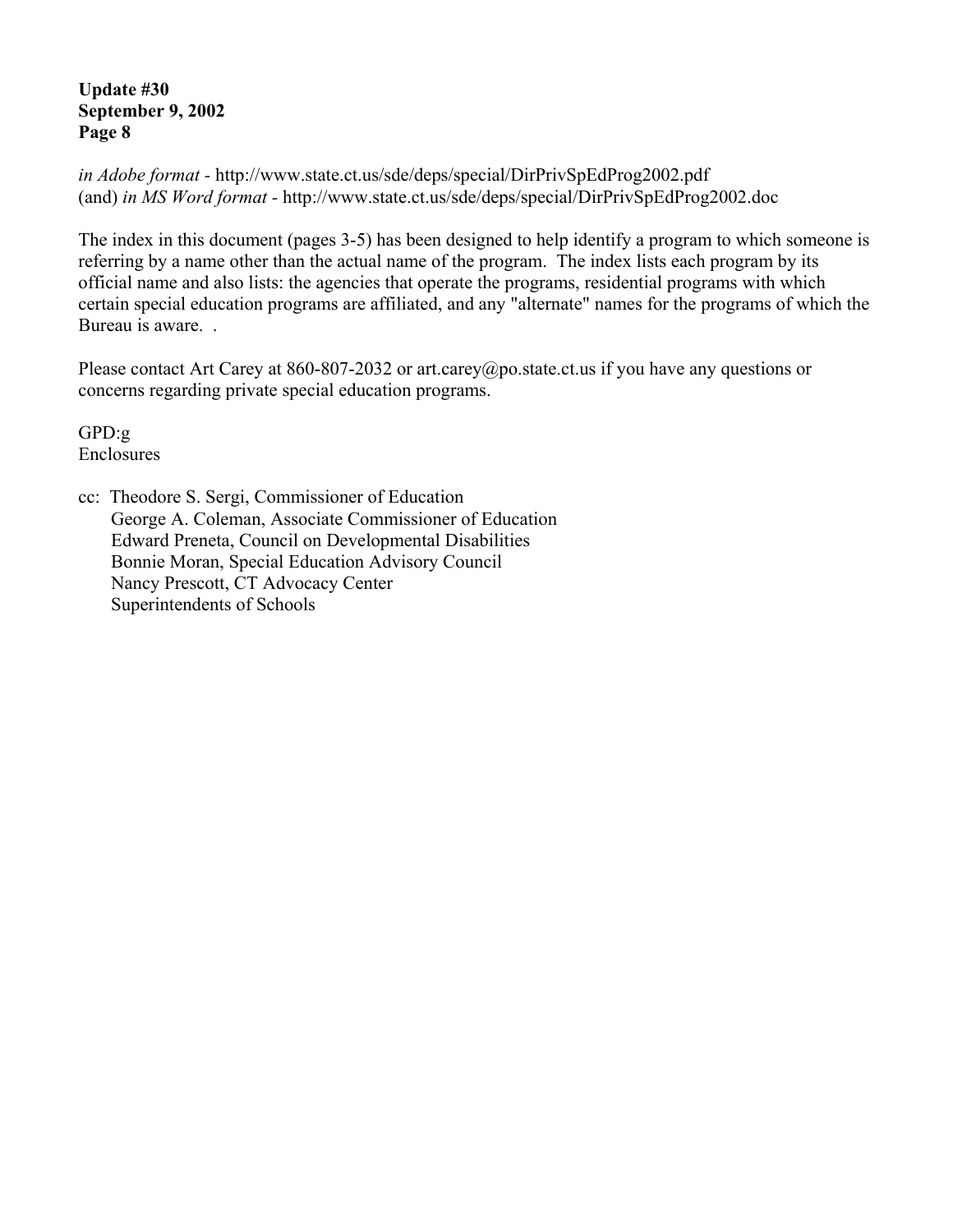*in Adobe format -* http://www.state.ct.us/sde/deps/special/DirPrivSpEdProg2002.pdf (and) *in MS Word format -* http://www.state.ct.us/sde/deps/special/DirPrivSpEdProg2002.doc

The index in this document (pages 3-5) has been designed to help identify a program to which someone is referring by a name other than the actual name of the program. The index lists each program by its official name and also lists: the agencies that operate the programs, residential programs with which certain special education programs are affiliated, and any "alternate" names for the programs of which the Bureau is aware. .

Please contact Art Carey at 860-807-2032 or art.carey@po.state.ct.us if you have any questions or concerns regarding private special education programs.

GPD:g Enclosures

cc: Theodore S. Sergi, Commissioner of Education George A. Coleman, Associate Commissioner of Education Edward Preneta, Council on Developmental Disabilities Bonnie Moran, Special Education Advisory Council Nancy Prescott, CT Advocacy Center Superintendents of Schools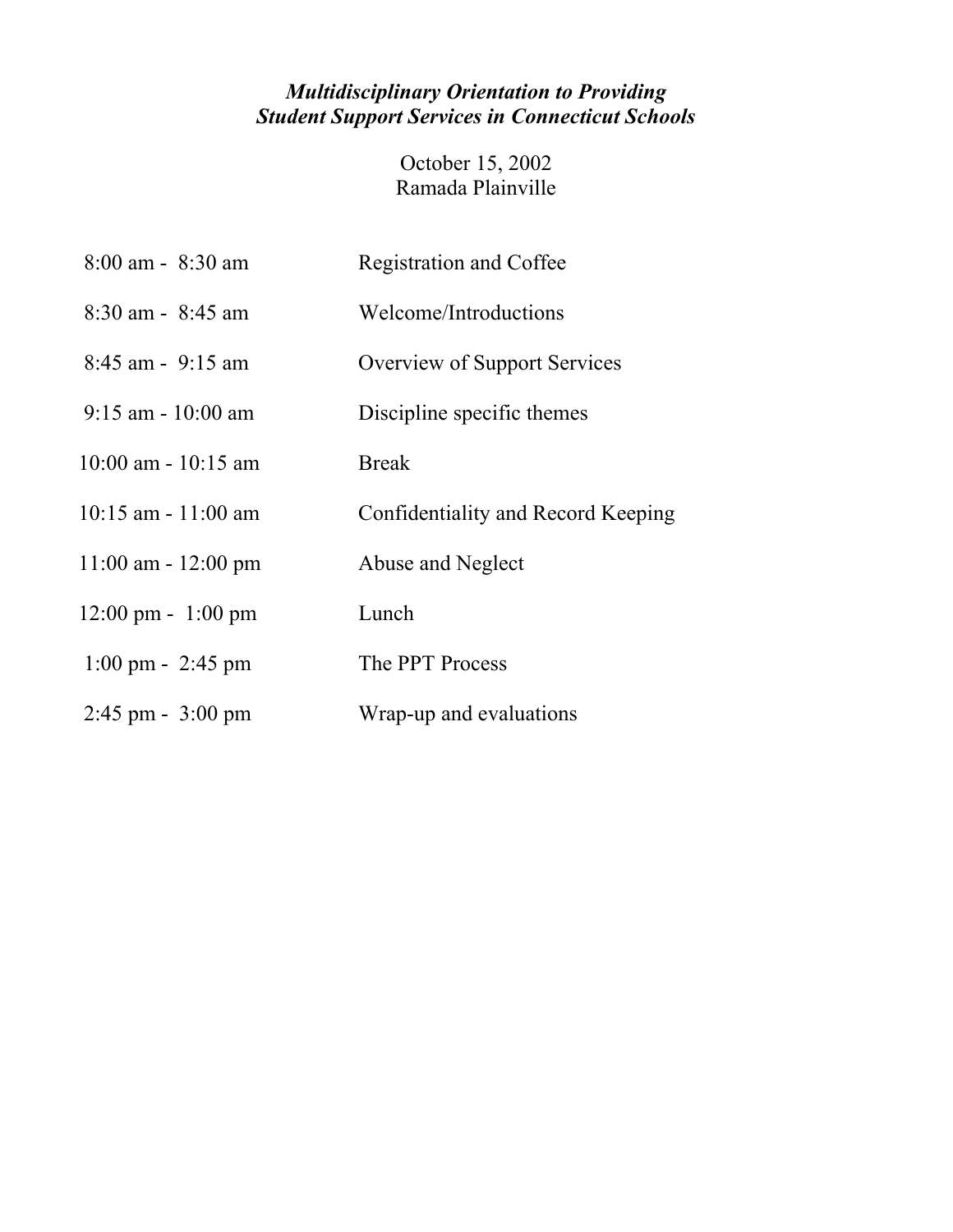## *Multidisciplinary Orientation to Providing Student Support Services in Connecticut Schools*

October 15, 2002 Ramada Plainville

| $8:00$ am - $8:30$ am                | <b>Registration and Coffee</b>      |
|--------------------------------------|-------------------------------------|
| $8:30$ am - $8:45$ am                | Welcome/Introductions               |
| $8:45$ am - $9:15$ am                | <b>Overview of Support Services</b> |
| $9:15$ am - 10:00 am                 | Discipline specific themes          |
| $10:00$ am - $10:15$ am              | <b>Break</b>                        |
| $10:15$ am $-11:00$ am               | Confidentiality and Record Keeping  |
| $11:00$ am - $12:00$ pm              | Abuse and Neglect                   |
| $12:00 \text{ pm} - 1:00 \text{ pm}$ | Lunch                               |
| $1:00 \text{ pm} - 2:45 \text{ pm}$  | The PPT Process                     |
| $2:45$ pm - $3:00$ pm                | Wrap-up and evaluations             |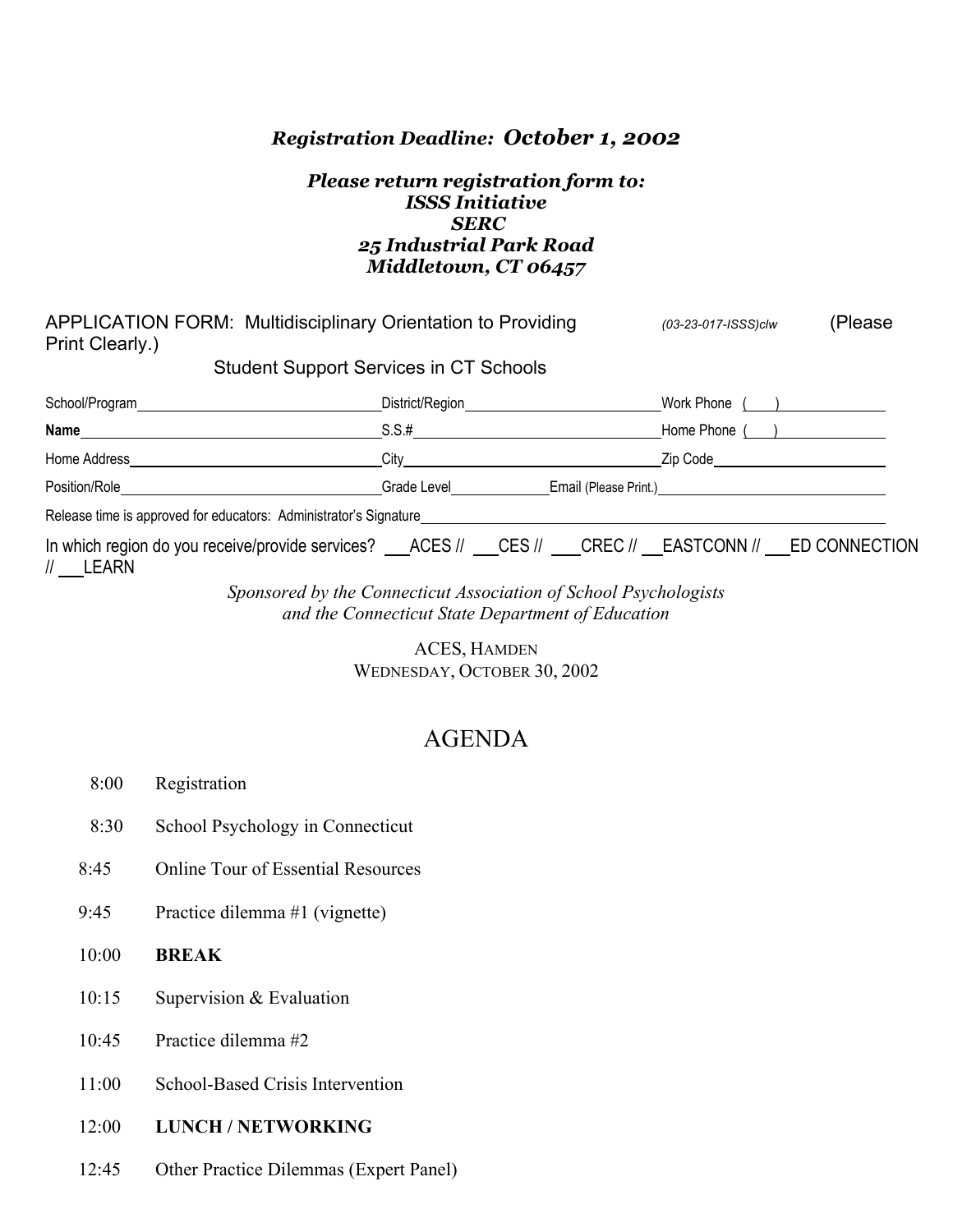#### *Registration Deadline: October 1, 2002*

#### *Please return registration form to: ISSS Initiative SERC 25 Industrial Park Road Middletown, CT 06457*

| APPLICATION FORM: Multidisciplinary Orientation to Providing<br>Print Clearly.)                               |                                                                                  | (03-23-017-ISSS)clw               | (Please |
|---------------------------------------------------------------------------------------------------------------|----------------------------------------------------------------------------------|-----------------------------------|---------|
| <b>Student Support Services in CT Schools</b>                                                                 |                                                                                  |                                   |         |
|                                                                                                               | District/Region_______________________                                           | Work Phone $($ $)$                |         |
|                                                                                                               | $S.S.$ # $\qquad \qquad$                                                         | Home Phone ( )                    |         |
| Home Address <b>Exercísion Exercísion Exercísion Exercísion</b>                                               |                                                                                  | Zip Code <u>Andrea Maria Code</u> |         |
|                                                                                                               | Crade Level ________________Email (Please Print.)_______________________________ |                                   |         |
| Release time is approved for educators: Administrator's Signature___________________________________          |                                                                                  |                                   |         |
| In which region do you receive/provide services? ACES // CES // CREC // EASTCONN // ED CONNECTION<br>// LEARN |                                                                                  |                                   |         |

*Sponsored by the Connecticut Association of School Psychologists and the Connecticut State Department of Education* 

> ACES, HAMDEN WEDNESDAY, OCTOBER 30, 2002

# AGENDA

- 8:00 Registration
- 8:30 School Psychology in Connecticut
- 8:45 Online Tour of Essential Resources
- 9:45 Practice dilemma #1 (vignette)
- 10:00 **BREAK**
- 10:15 Supervision & Evaluation
- 10:45 Practice dilemma #2
- 11:00 School-Based Crisis Intervention
- 12:00 **LUNCH / NETWORKING**
- 12:45 Other Practice Dilemmas (Expert Panel)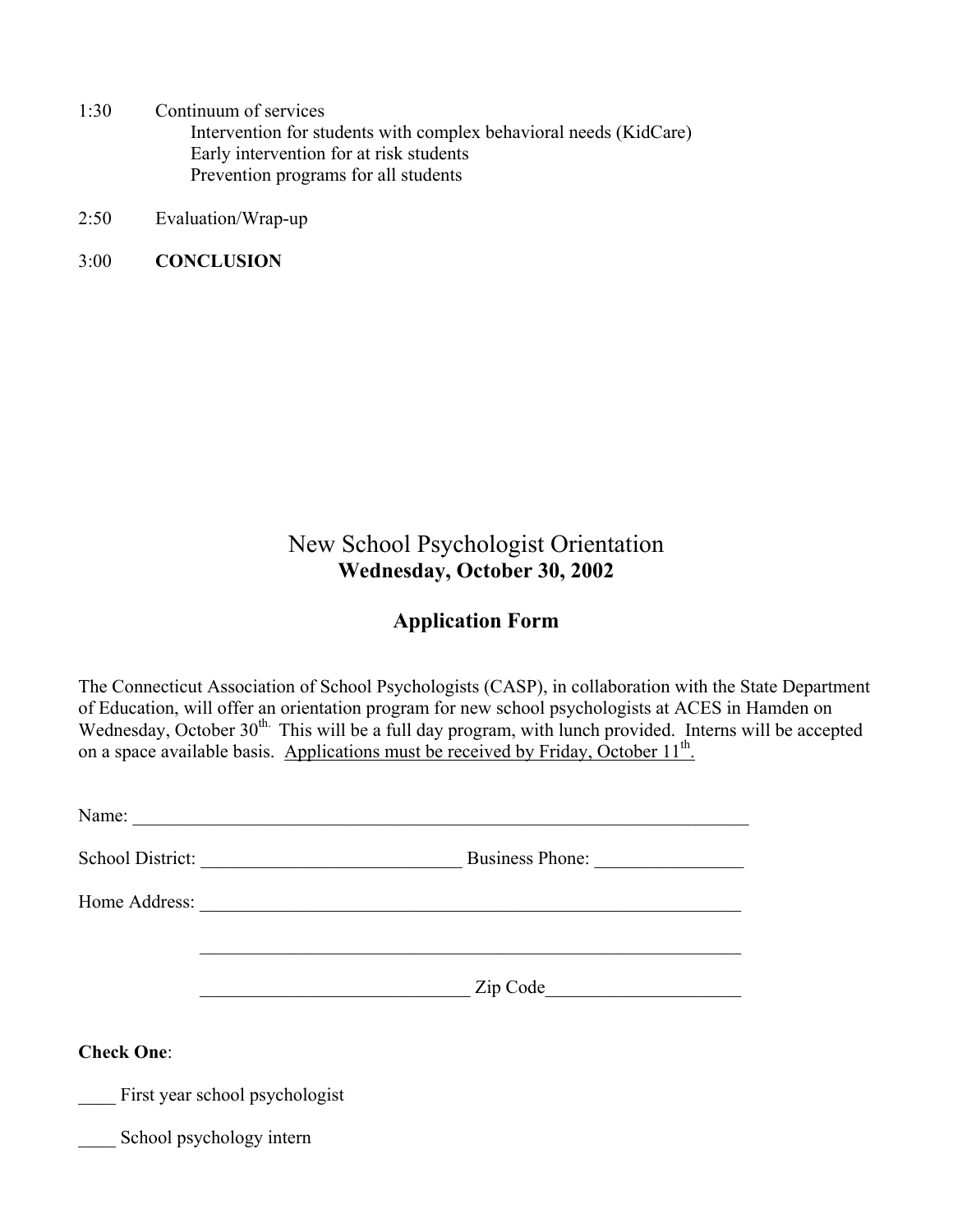1:30 Continuum of services

Intervention for students with complex behavioral needs (KidCare) Early intervention for at risk students Prevention programs for all students

- 2:50 Evaluation/Wrap-up
- 3:00 **CONCLUSION**

# New School Psychologist Orientation **Wednesday, October 30, 2002**

### **Application Form**

The Connecticut Association of School Psychologists (CASP), in collaboration with the State Department of Education, will offer an orientation program for new school psychologists at ACES in Hamden on Wednesday, October 30<sup>th.</sup> This will be a full day program, with lunch provided. Interns will be accepted on a space available basis. Applications must be received by Friday, October 11<sup>th</sup>.

| Name:                                                                                                                                     |                                       |  |
|-------------------------------------------------------------------------------------------------------------------------------------------|---------------------------------------|--|
| School District:<br><u> 1989 - Johann Harry Harry Harry Harry Harry Harry Harry Harry Harry Harry Harry Harry Harry Harry Harry Harry</u> | Business Phone:                       |  |
|                                                                                                                                           |                                       |  |
|                                                                                                                                           |                                       |  |
|                                                                                                                                           | Zip Code and the Contract of the Code |  |
| <b>Check One:</b>                                                                                                                         |                                       |  |
| First year school psychologist                                                                                                            |                                       |  |
| School psychology intern                                                                                                                  |                                       |  |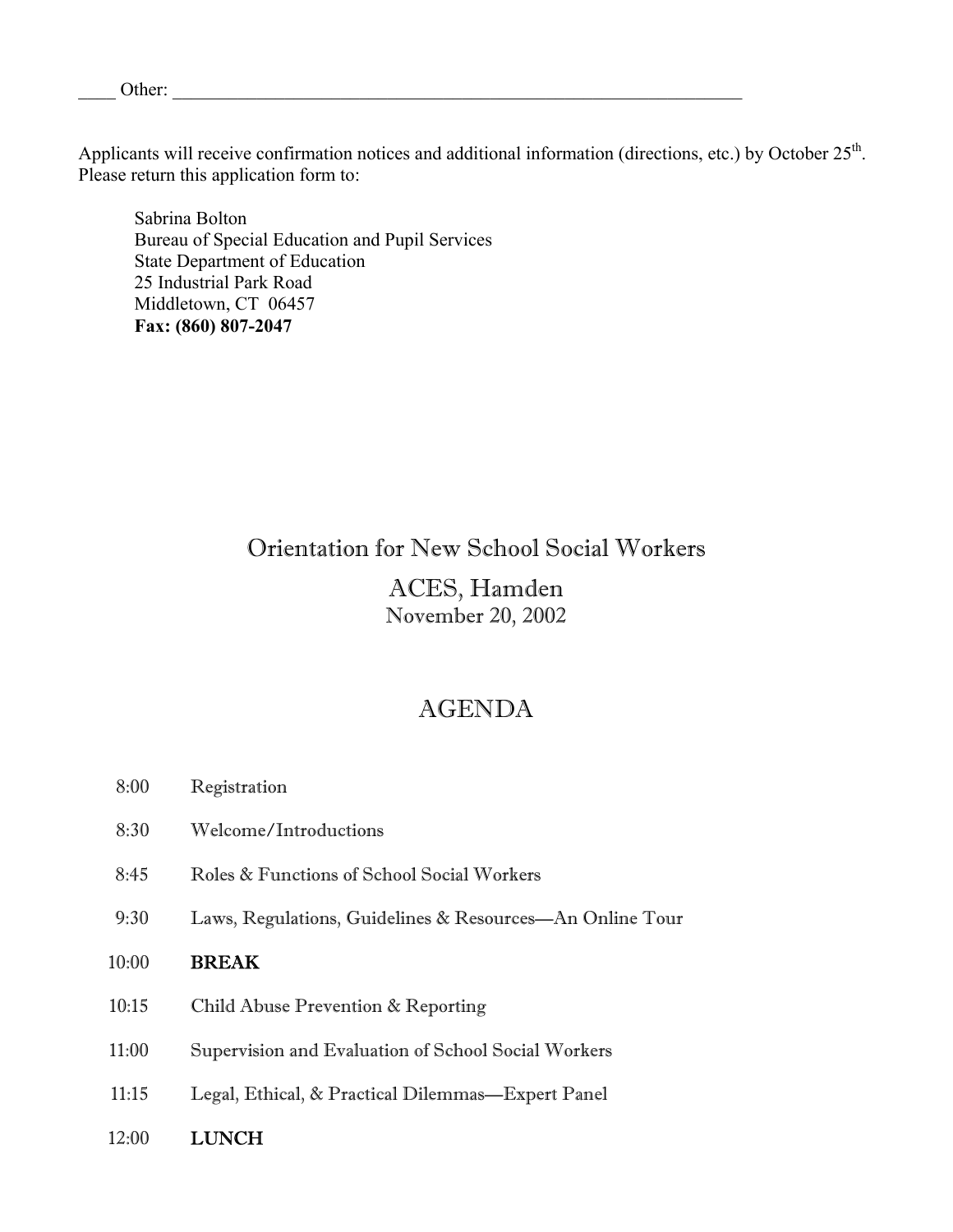Applicants will receive confirmation notices and additional information (directions, etc.) by October 25<sup>th</sup>. Please return this application form to:

Sabrina Bolton Bureau of Special Education and Pupil Services State Department of Education 25 Industrial Park Road Middletown, CT 06457 **Fax: (860) 807-2047** 

## Orientation for New School Social Workers

### ACES, Hamden November 20, 2002

## AGENDA

- 8:00 Registration
- 8:30 Welcome/Introductions
- 8:45 Roles & Functions of School Social Workers
- 9:30 Laws, Regulations, Guidelines & Resources—An Online Tour

#### 10:00 BREAK

- 10:15 Child Abuse Prevention & Reporting
- 11:00 Supervision and Evaluation of School Social Workers
- 11:15 Legal, Ethical, & Practical Dilemmas—Expert Panel
- 12:00 LUNCH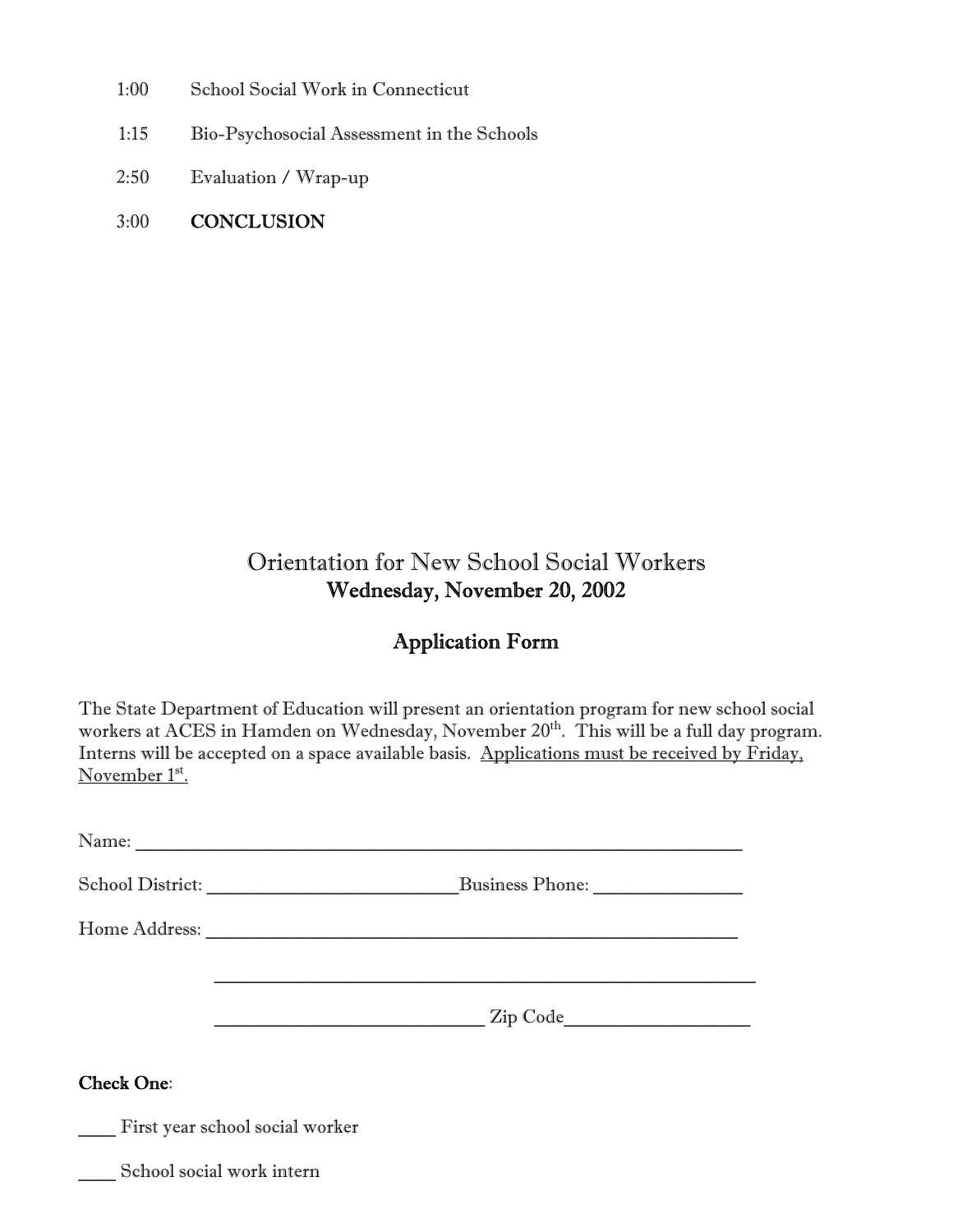- 1:00 School Social Work in Connecticut
- 1:15 Bio-Psychosocial Assessment in the Schools
- 2:50 Evaluation / Wrap-up
- 3:00 CONCLUSION

# Orientation for New School Social Workers Wednesday, November 20, 2002

### Application Form

The State Department of Education will present an orientation program for new school social workers at ACES in Hamden on Wednesday, November 20<sup>th</sup>. This will be a full day program. Interns will be accepted on a space available basis. Applications must be received by Friday, November 1st.

| School District:                | <b>Business Phone:</b> |  |
|---------------------------------|------------------------|--|
|                                 |                        |  |
|                                 |                        |  |
| <b>Check One:</b>               |                        |  |
| First year school social worker |                        |  |

\_\_\_\_ School social work intern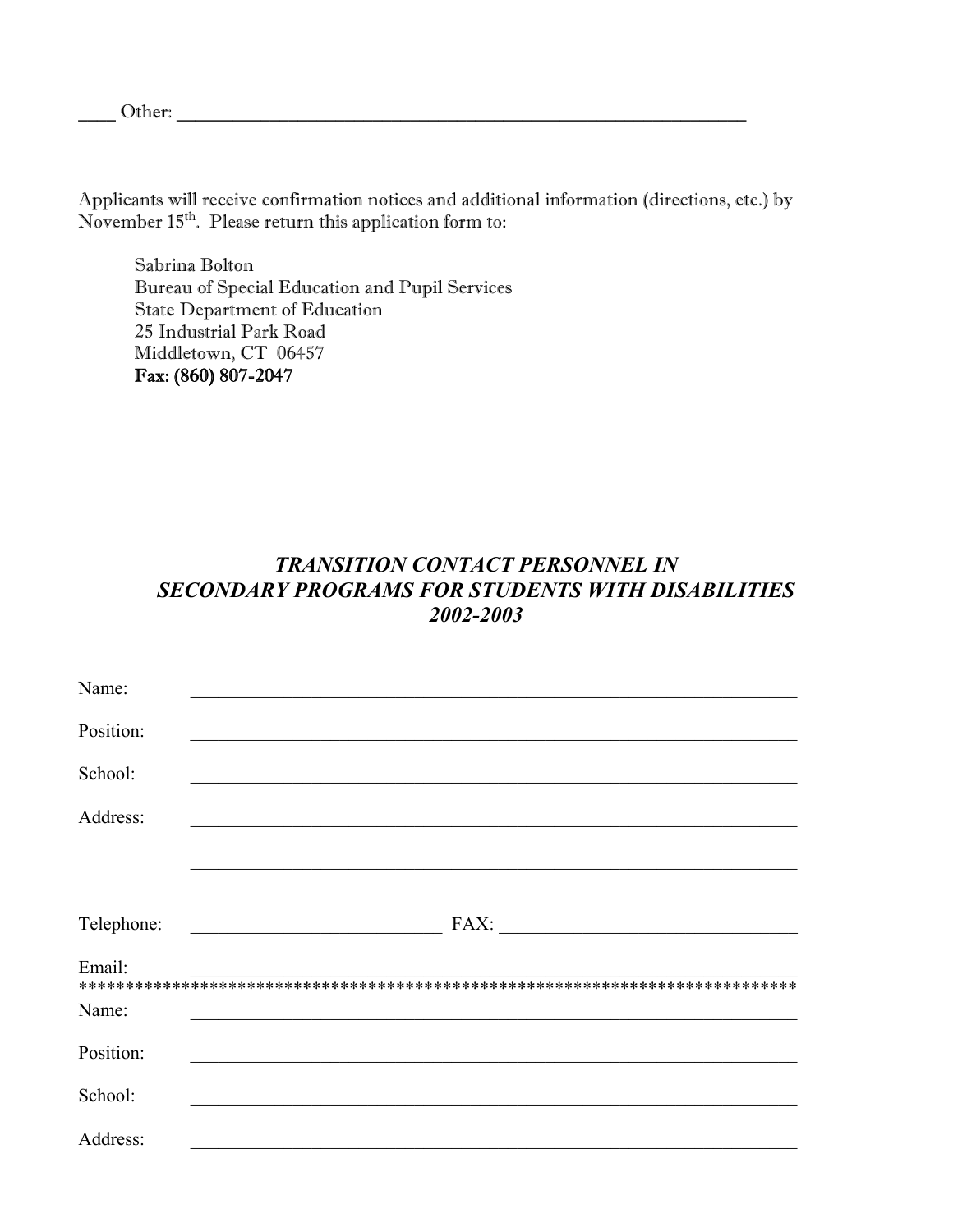Other:

Applicants will receive confirmation notices and additional information (directions, etc.) by November 15<sup>th</sup>. Please return this application form to:

Sabrina Bolton Bureau of Special Education and Pupil Services State Department of Education 25 Industrial Park Road Middletown, CT 06457 Fax: (860) 807-2047

### *TRANSITION CONTACT PERSONNEL IN SECONDARY PROGRAMS FOR STUDENTS WITH DISABILITIES 2002-2003*

| Name:      |      |
|------------|------|
| Position:  |      |
| School:    |      |
| Address:   |      |
|            |      |
|            |      |
| Telephone: | FAX: |
| Email:     |      |
| Name:      |      |
| Position:  |      |
| School:    |      |
| Address:   |      |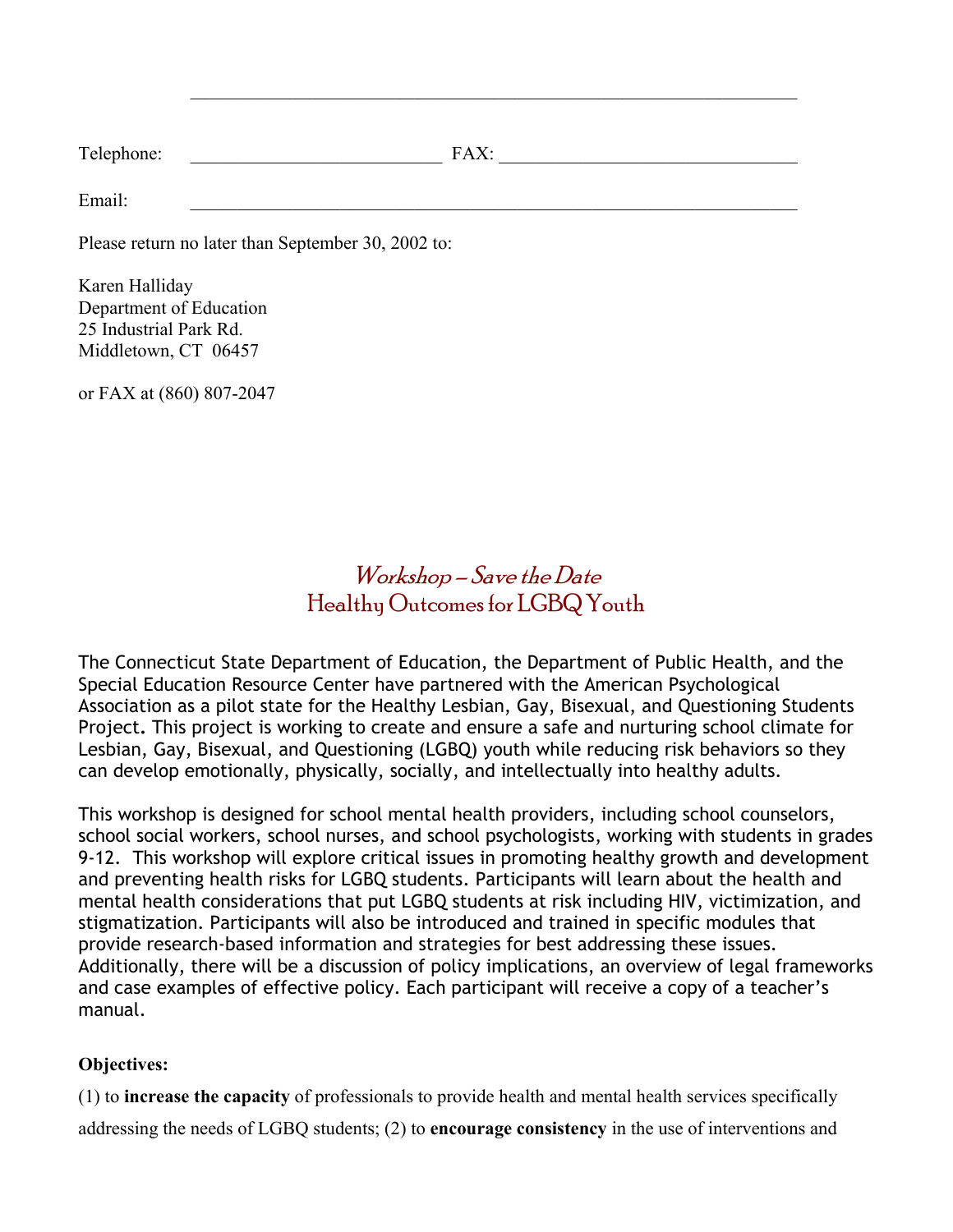| $T_{\alpha}$ 1<br>المحدد والمده<br>Telephone: | $\overline{\phantom{a}}$ |
|-----------------------------------------------|--------------------------|
|                                               |                          |

 $\mathcal{L}_\text{max} = \frac{1}{2} \sum_{i=1}^{n} \frac{1}{2} \sum_{i=1}^{n} \frac{1}{2} \sum_{i=1}^{n} \frac{1}{2} \sum_{i=1}^{n} \frac{1}{2} \sum_{i=1}^{n} \frac{1}{2} \sum_{i=1}^{n} \frac{1}{2} \sum_{i=1}^{n} \frac{1}{2} \sum_{i=1}^{n} \frac{1}{2} \sum_{i=1}^{n} \frac{1}{2} \sum_{i=1}^{n} \frac{1}{2} \sum_{i=1}^{n} \frac{1}{2} \sum_{i=1}^{n} \frac{1$ 

Email:

Please return no later than September 30, 2002 to:

Karen Halliday Department of Education 25 Industrial Park Rd. Middletown, CT 06457

or FAX at (860) 807-2047

## Workshop – Save the Date Healthy Outcomes for LGBQ Youth

The Connecticut State Department of Education, the Department of Public Health, and the Special Education Resource Center have partnered with the American Psychological Association as a pilot state for the Healthy Lesbian, Gay, Bisexual, and Questioning Students Project**.** This project is working to create and ensure a safe and nurturing school climate for Lesbian, Gay, Bisexual, and Questioning (LGBQ) youth while reducing risk behaviors so they can develop emotionally, physically, socially, and intellectually into healthy adults.

This workshop is designed for school mental health providers, including school counselors, school social workers, school nurses, and school psychologists, working with students in grades 9-12. This workshop will explore critical issues in promoting healthy growth and development and preventing health risks for LGBQ students. Participants will learn about the health and mental health considerations that put LGBQ students at risk including HIV, victimization, and stigmatization. Participants will also be introduced and trained in specific modules that provide research-based information and strategies for best addressing these issues. Additionally, there will be a discussion of policy implications, an overview of legal frameworks and case examples of effective policy. Each participant will receive a copy of a teacher's manual.

#### **Objectives:**

(1) to **increase the capacity** of professionals to provide health and mental health services specifically addressing the needs of LGBQ students; (2) to **encourage consistency** in the use of interventions and